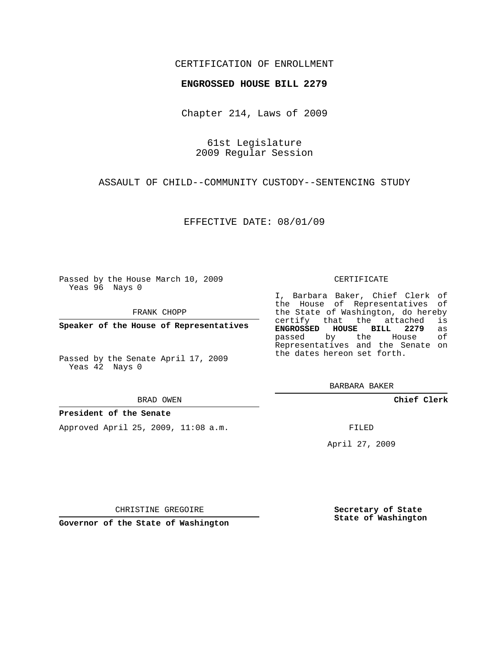## CERTIFICATION OF ENROLLMENT

### **ENGROSSED HOUSE BILL 2279**

Chapter 214, Laws of 2009

61st Legislature 2009 Regular Session

ASSAULT OF CHILD--COMMUNITY CUSTODY--SENTENCING STUDY

EFFECTIVE DATE: 08/01/09

Passed by the House March 10, 2009 Yeas 96 Nays 0

FRANK CHOPP

**Speaker of the House of Representatives**

Passed by the Senate April 17, 2009 Yeas 42 Nays 0

#### **President of the Senate**

Approved April 25, 2009, 11:08 a.m.

#### CERTIFICATE

I, Barbara Baker, Chief Clerk of the House of Representatives of the State of Washington, do hereby<br>certify that the attached is certify that the attached **ENGROSSED HOUSE BILL 2279** as passed by the House Representatives and the Senate on the dates hereon set forth.

BARBARA BAKER

**Chief Clerk**

FILED

April 27, 2009

CHRISTINE GREGOIRE

**Secretary of State State of Washington**

**Governor of the State of Washington**

BRAD OWEN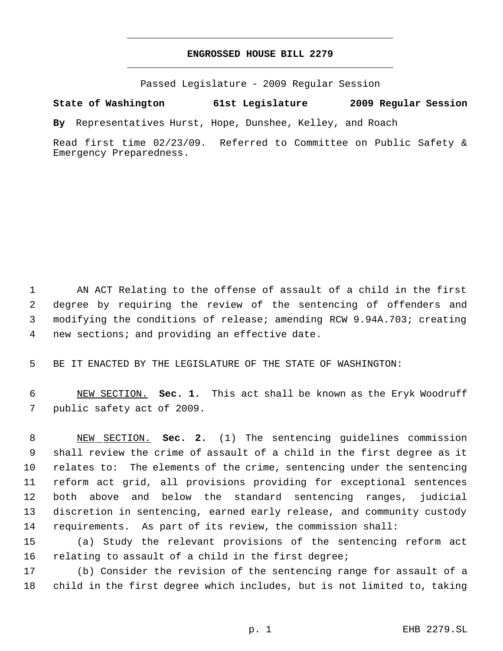# **ENGROSSED HOUSE BILL 2279** \_\_\_\_\_\_\_\_\_\_\_\_\_\_\_\_\_\_\_\_\_\_\_\_\_\_\_\_\_\_\_\_\_\_\_\_\_\_\_\_\_\_\_\_\_

\_\_\_\_\_\_\_\_\_\_\_\_\_\_\_\_\_\_\_\_\_\_\_\_\_\_\_\_\_\_\_\_\_\_\_\_\_\_\_\_\_\_\_\_\_

Passed Legislature - 2009 Regular Session

**State of Washington 61st Legislature 2009 Regular Session**

**By** Representatives Hurst, Hope, Dunshee, Kelley, and Roach

Read first time 02/23/09. Referred to Committee on Public Safety & Emergency Preparedness.

 AN ACT Relating to the offense of assault of a child in the first degree by requiring the review of the sentencing of offenders and modifying the conditions of release; amending RCW 9.94A.703; creating new sections; and providing an effective date.

BE IT ENACTED BY THE LEGISLATURE OF THE STATE OF WASHINGTON:

 NEW SECTION. **Sec. 1.** This act shall be known as the Eryk Woodruff public safety act of 2009.

 NEW SECTION. **Sec. 2.** (1) The sentencing guidelines commission shall review the crime of assault of a child in the first degree as it relates to: The elements of the crime, sentencing under the sentencing reform act grid, all provisions providing for exceptional sentences both above and below the standard sentencing ranges, judicial discretion in sentencing, earned early release, and community custody requirements. As part of its review, the commission shall:

 (a) Study the relevant provisions of the sentencing reform act 16 relating to assault of a child in the first degree;

 (b) Consider the revision of the sentencing range for assault of a child in the first degree which includes, but is not limited to, taking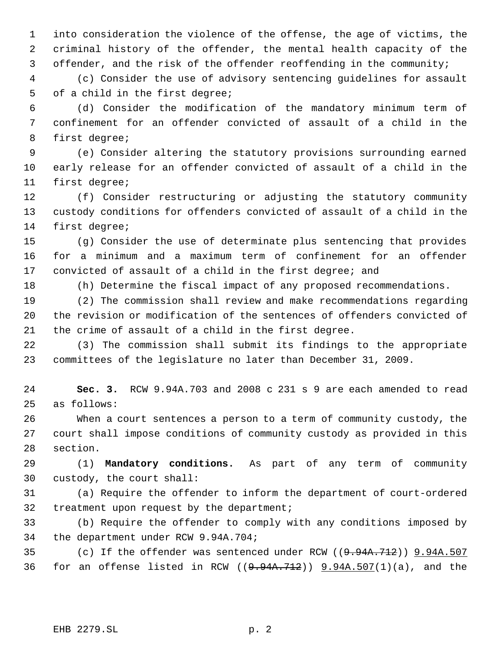into consideration the violence of the offense, the age of victims, the criminal history of the offender, the mental health capacity of the offender, and the risk of the offender reoffending in the community;

 (c) Consider the use of advisory sentencing guidelines for assault of a child in the first degree;

 (d) Consider the modification of the mandatory minimum term of confinement for an offender convicted of assault of a child in the first degree;

 (e) Consider altering the statutory provisions surrounding earned early release for an offender convicted of assault of a child in the first degree;

 (f) Consider restructuring or adjusting the statutory community custody conditions for offenders convicted of assault of a child in the first degree;

 (g) Consider the use of determinate plus sentencing that provides for a minimum and a maximum term of confinement for an offender convicted of assault of a child in the first degree; and

(h) Determine the fiscal impact of any proposed recommendations.

 (2) The commission shall review and make recommendations regarding the revision or modification of the sentences of offenders convicted of the crime of assault of a child in the first degree.

 (3) The commission shall submit its findings to the appropriate committees of the legislature no later than December 31, 2009.

 **Sec. 3.** RCW 9.94A.703 and 2008 c 231 s 9 are each amended to read as follows:

 When a court sentences a person to a term of community custody, the court shall impose conditions of community custody as provided in this section.

 (1) **Mandatory conditions.** As part of any term of community custody, the court shall:

 (a) Require the offender to inform the department of court-ordered 32 treatment upon request by the department;

 (b) Require the offender to comply with any conditions imposed by the department under RCW 9.94A.704;

35 (c) If the offender was sentenced under RCW ((9.94A.712)) 9.94A.507 36 for an offense listed in RCW  $(9.94A.712)$   $(9.94A.507(1)(a)$ , and the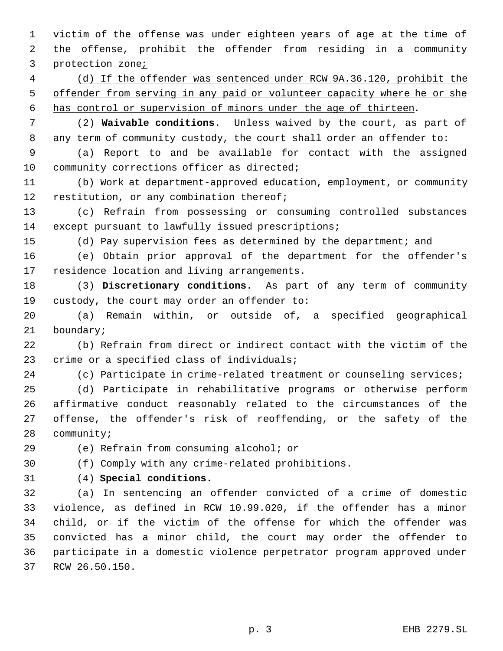victim of the offense was under eighteen years of age at the time of the offense, prohibit the offender from residing in a community protection zone;

 (d) If the offender was sentenced under RCW 9A.36.120, prohibit the 5 offender from serving in any paid or volunteer capacity where he or she has control or supervision of minors under the age of thirteen.

 (2) **Waivable conditions.** Unless waived by the court, as part of 8 any term of community custody, the court shall order an offender to:

 (a) Report to and be available for contact with the assigned 10 community corrections officer as directed;

 (b) Work at department-approved education, employment, or community 12 restitution, or any combination thereof;

 (c) Refrain from possessing or consuming controlled substances except pursuant to lawfully issued prescriptions;

(d) Pay supervision fees as determined by the department; and

 (e) Obtain prior approval of the department for the offender's residence location and living arrangements.

 (3) **Discretionary conditions.** As part of any term of community custody, the court may order an offender to:

 (a) Remain within, or outside of, a specified geographical boundary;

 (b) Refrain from direct or indirect contact with the victim of the crime or a specified class of individuals;

(c) Participate in crime-related treatment or counseling services;

 (d) Participate in rehabilitative programs or otherwise perform affirmative conduct reasonably related to the circumstances of the offense, the offender's risk of reoffending, or the safety of the community;

(e) Refrain from consuming alcohol; or

(f) Comply with any crime-related prohibitions.

(4) **Special conditions.**

 (a) In sentencing an offender convicted of a crime of domestic violence, as defined in RCW 10.99.020, if the offender has a minor child, or if the victim of the offense for which the offender was convicted has a minor child, the court may order the offender to participate in a domestic violence perpetrator program approved under RCW 26.50.150.